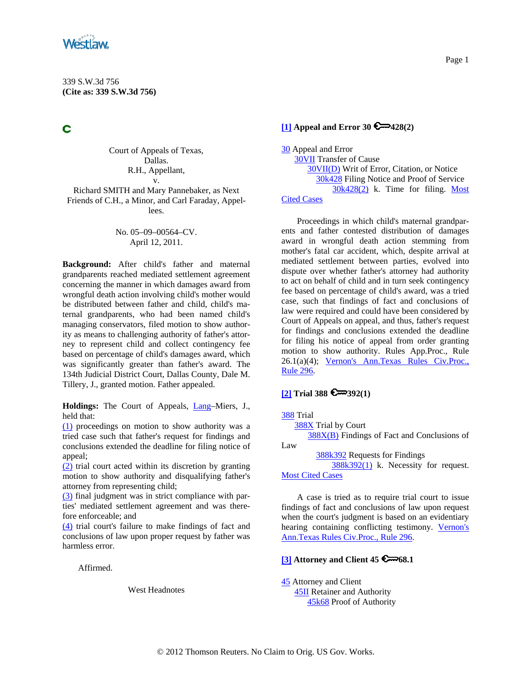<span id="page-0-0"></span>

Ć

Court of Appeals of Texas, Dallas. R.H., Appellant, v. Richard SMITH and Mary Pannebaker, as Next

Friends of C.H., a Minor, and Carl Faraday, Appellees.

### No. 05–09–00564–CV. April 12, 2011.

**Background:** After child's father and maternal grandparents reached mediated settlement agreement concerning the manner in which damages award from wrongful death action involving child's mother would be distributed between father and child, child's maternal grandparents, who had been named child's managing conservators, filed motion to show authority as means to challenging authority of father's attorney to represent child and collect contingency fee based on percentage of child's damages award, which was significantly greater than father's award. The 134th Judicial District Court, Dallas County, Dale M. Tillery, J., granted motion. Father appealed.

**Holdings:** The Court of Appeals, [Lang–](http://www.westlaw.com/Find/Default.wl?rs=dfa1.0&vr=2.0&DB=PROFILER-WLD&DocName=0185360101&FindType=h)Miers, J., held that:

[\(1\)](#page-5-0) proceedings on motion to show authority was a tried case such that father's request for findings and conclusions extended the deadline for filing notice of appeal;

[\(2\)](#page-6-0) trial court acted within its discretion by granting motion to show authority and disqualifying father's attorney from representing child;

[\(3\)](#page-8-0) final judgment was in strict compliance with parties' mediated settlement agreement and was therefore enforceable; and

[\(4\)](#page-9-0) trial court's failure to make findings of fact and conclusions of law upon proper request by father was harmless error.

Affirmed.

West Headnotes

## **[\[1\]](#page-5-0) Appeal and Error 30 428(2)**

[30](http://www.westlaw.com/KeyNumber/Default.wl?rs=dfa1.0&vr=2.0&CMD=KEY&DocName=30) Appeal and Error [30VII](http://www.westlaw.com/KeyNumber/Default.wl?rs=dfa1.0&vr=2.0&CMD=KEY&DocName=30VII) Transfer of Cause [30VII\(D\)](http://www.westlaw.com/KeyNumber/Default.wl?rs=dfa1.0&vr=2.0&CMD=KEY&DocName=30VII%28D%29) Writ of Error, Citation, or Notice [30k428](http://www.westlaw.com/KeyNumber/Default.wl?rs=dfa1.0&vr=2.0&CMD=KEY&DocName=30k428) Filing Notice and Proof of Service [30k428\(2\)](http://www.westlaw.com/KeyNumber/Default.wl?rs=dfa1.0&vr=2.0&CMD=KEY&DocName=30k428%282%29) k. Time for filing. Most [Cited Cases](http://www.westlaw.com/Digest/Default.wl?rs=dfa1.0&vr=2.0&CMD=MCC&DocName=30k428%282%29)

Proceedings in which child's maternal grandparents and father contested distribution of damages award in wrongful death action stemming from mother's fatal car accident, which, despite arrival at mediated settlement between parties, evolved into dispute over whether father's attorney had authority to act on behalf of child and in turn seek contingency fee based on percentage of child's award, was a tried case, such that findings of fact and conclusions of law were required and could have been considered by Court of Appeals on appeal, and thus, father's request for findings and conclusions extended the deadline for filing his notice of appeal from order granting motion to show authority. Rules App.Proc., Rule 26.1(a)(4); [Vernon's Ann.Texas Rules Civ.Proc.,](http://www.westlaw.com/Find/Default.wl?rs=dfa1.0&vr=2.0&DB=1005302&DocName=TXRRCPR296&FindType=L)  [Rule 296](http://www.westlaw.com/Find/Default.wl?rs=dfa1.0&vr=2.0&DB=1005302&DocName=TXRRCPR296&FindType=L).

## **[\[2\]](#page-5-0) Trial 388 392(1)**

[388](http://www.westlaw.com/KeyNumber/Default.wl?rs=dfa1.0&vr=2.0&CMD=KEY&DocName=388) Trial [388X](http://www.westlaw.com/KeyNumber/Default.wl?rs=dfa1.0&vr=2.0&CMD=KEY&DocName=388X) Trial by Court [388X\(B\)](http://www.westlaw.com/KeyNumber/Default.wl?rs=dfa1.0&vr=2.0&CMD=KEY&DocName=388X%28B%29) Findings of Fact and Conclusions of Law [388k392](http://www.westlaw.com/KeyNumber/Default.wl?rs=dfa1.0&vr=2.0&CMD=KEY&DocName=388k392) Requests for Findings

 [388k392\(1\)](http://www.westlaw.com/KeyNumber/Default.wl?rs=dfa1.0&vr=2.0&CMD=KEY&DocName=388k392%281%29) k. Necessity for request. [Most Cited Cases](http://www.westlaw.com/Digest/Default.wl?rs=dfa1.0&vr=2.0&CMD=MCC&DocName=388k392%281%29)

A case is tried as to require trial court to issue findings of fact and conclusions of law upon request when the court's judgment is based on an evidentiary hearing containing conflicting testimony. [Vernon's](http://www.westlaw.com/Find/Default.wl?rs=dfa1.0&vr=2.0&DB=1005302&DocName=TXRRCPR296&FindType=L)  [Ann.Texas Rules Civ.Proc., Rule 296.](http://www.westlaw.com/Find/Default.wl?rs=dfa1.0&vr=2.0&DB=1005302&DocName=TXRRCPR296&FindType=L)

## **[\[3\]](#page-6-0) Attorney and Client 45 6 668.1**

[45](http://www.westlaw.com/KeyNumber/Default.wl?rs=dfa1.0&vr=2.0&CMD=KEY&DocName=45) Attorney and Client [45II](http://www.westlaw.com/KeyNumber/Default.wl?rs=dfa1.0&vr=2.0&CMD=KEY&DocName=45II) Retainer and Authority [45k68](http://www.westlaw.com/KeyNumber/Default.wl?rs=dfa1.0&vr=2.0&CMD=KEY&DocName=45k68) Proof of Authority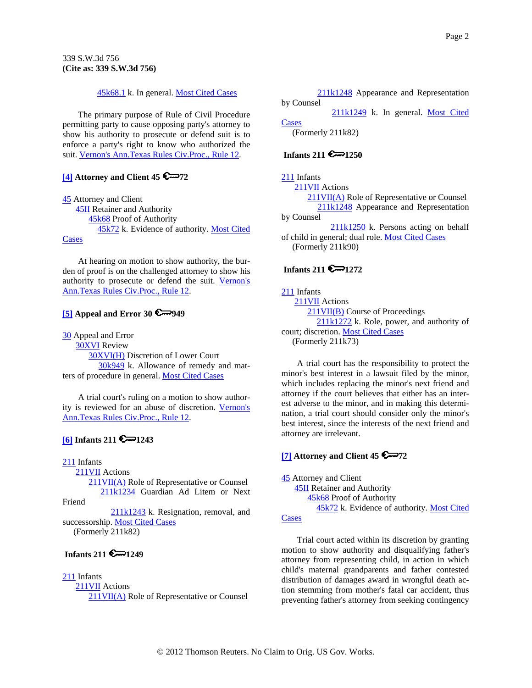[45k68.1](http://www.westlaw.com/KeyNumber/Default.wl?rs=dfa1.0&vr=2.0&CMD=KEY&DocName=45k68.1) k. In general. [Most Cited Cases](http://www.westlaw.com/Digest/Default.wl?rs=dfa1.0&vr=2.0&CMD=MCC&DocName=45k68.1)

<span id="page-1-0"></span>The primary purpose of Rule of Civil Procedure permitting party to cause opposing party's attorney to show his authority to prosecute or defend suit is to enforce a party's right to know who authorized the suit. [Vernon's Ann.Texas Rules Civ.Proc., Rule 12](http://www.westlaw.com/Find/Default.wl?rs=dfa1.0&vr=2.0&DB=1005302&DocName=TXRRCPR12&FindType=L).

## **[\[4\]](#page-6-0) Attorney and Client 45 6 72**

[45](http://www.westlaw.com/KeyNumber/Default.wl?rs=dfa1.0&vr=2.0&CMD=KEY&DocName=45) Attorney and Client [45II](http://www.westlaw.com/KeyNumber/Default.wl?rs=dfa1.0&vr=2.0&CMD=KEY&DocName=45II) Retainer and Authority [45k68](http://www.westlaw.com/KeyNumber/Default.wl?rs=dfa1.0&vr=2.0&CMD=KEY&DocName=45k68) Proof of Authority [45k72](http://www.westlaw.com/KeyNumber/Default.wl?rs=dfa1.0&vr=2.0&CMD=KEY&DocName=45k72) k. Evidence of authority. [Most Cited](http://www.westlaw.com/Digest/Default.wl?rs=dfa1.0&vr=2.0&CMD=MCC&DocName=45k72)  **[Cases](http://www.westlaw.com/Digest/Default.wl?rs=dfa1.0&vr=2.0&CMD=MCC&DocName=45k72)** 

At hearing on motion to show authority, the burden of proof is on the challenged attorney to show his authority to prosecute or defend the suit. [Vernon's](http://www.westlaw.com/Find/Default.wl?rs=dfa1.0&vr=2.0&DB=1005302&DocName=TXRRCPR12&FindType=L)  [Ann.Texas Rules Civ.Proc., Rule 12.](http://www.westlaw.com/Find/Default.wl?rs=dfa1.0&vr=2.0&DB=1005302&DocName=TXRRCPR12&FindType=L)

# **[\[5\]](#page-6-0) Appeal and Error 30 @ 949**

[30](http://www.westlaw.com/KeyNumber/Default.wl?rs=dfa1.0&vr=2.0&CMD=KEY&DocName=30) Appeal and Error

 [30XVI](http://www.westlaw.com/KeyNumber/Default.wl?rs=dfa1.0&vr=2.0&CMD=KEY&DocName=30XVI) Review [30XVI\(H\)](http://www.westlaw.com/KeyNumber/Default.wl?rs=dfa1.0&vr=2.0&CMD=KEY&DocName=30XVI%28H%29) Discretion of Lower Court [30k949](http://www.westlaw.com/KeyNumber/Default.wl?rs=dfa1.0&vr=2.0&CMD=KEY&DocName=30k949) k. Allowance of remedy and matters of procedure in general. [Most Cited Cases](http://www.westlaw.com/Digest/Default.wl?rs=dfa1.0&vr=2.0&CMD=MCC&DocName=30k949)

A trial court's ruling on a motion to show authority is reviewed for an abuse of discretion. [Vernon's](http://www.westlaw.com/Find/Default.wl?rs=dfa1.0&vr=2.0&DB=1005302&DocName=TXRRCPR12&FindType=L)  [Ann.Texas Rules Civ.Proc., Rule 12.](http://www.westlaw.com/Find/Default.wl?rs=dfa1.0&vr=2.0&DB=1005302&DocName=TXRRCPR12&FindType=L)

# $[6]$  Infants 211

[211](http://www.westlaw.com/KeyNumber/Default.wl?rs=dfa1.0&vr=2.0&CMD=KEY&DocName=211) Infants

[211VII](http://www.westlaw.com/KeyNumber/Default.wl?rs=dfa1.0&vr=2.0&CMD=KEY&DocName=211VII) Actions

[211VII\(A\)](http://www.westlaw.com/KeyNumber/Default.wl?rs=dfa1.0&vr=2.0&CMD=KEY&DocName=211VII%28A%29) Role of Representative or Counsel [211k1234](http://www.westlaw.com/KeyNumber/Default.wl?rs=dfa1.0&vr=2.0&CMD=KEY&DocName=211k1234) Guardian Ad Litem or Next Friend

 [211k1243](http://www.westlaw.com/KeyNumber/Default.wl?rs=dfa1.0&vr=2.0&CMD=KEY&DocName=211k1243) k. Resignation, removal, and successorship. [Most Cited Cases](http://www.westlaw.com/Digest/Default.wl?rs=dfa1.0&vr=2.0&CMD=MCC&DocName=211k1243) (Formerly 211k82)

# **Infants 211 6**-1249

### [211](http://www.westlaw.com/KeyNumber/Default.wl?rs=dfa1.0&vr=2.0&CMD=KEY&DocName=211) Infants

 [211VII](http://www.westlaw.com/KeyNumber/Default.wl?rs=dfa1.0&vr=2.0&CMD=KEY&DocName=211VII) Actions [211VII\(A\)](http://www.westlaw.com/KeyNumber/Default.wl?rs=dfa1.0&vr=2.0&CMD=KEY&DocName=211VII%28A%29) Role of Representative or Counsel

[211k1248](http://www.westlaw.com/KeyNumber/Default.wl?rs=dfa1.0&vr=2.0&CMD=KEY&DocName=211k1248) Appearance and Representation by Counsel

 [211k1249](http://www.westlaw.com/KeyNumber/Default.wl?rs=dfa1.0&vr=2.0&CMD=KEY&DocName=211k1249) k. In general. [Most Cited](http://www.westlaw.com/Digest/Default.wl?rs=dfa1.0&vr=2.0&CMD=MCC&DocName=211k1249)  **[Cases](http://www.westlaw.com/Digest/Default.wl?rs=dfa1.0&vr=2.0&CMD=MCC&DocName=211k1249)** (Formerly 211k82)

## **Infants 211 6 2250**

## [211](http://www.westlaw.com/KeyNumber/Default.wl?rs=dfa1.0&vr=2.0&CMD=KEY&DocName=211) Infants

[211VII](http://www.westlaw.com/KeyNumber/Default.wl?rs=dfa1.0&vr=2.0&CMD=KEY&DocName=211VII) Actions

 [211VII\(A\)](http://www.westlaw.com/KeyNumber/Default.wl?rs=dfa1.0&vr=2.0&CMD=KEY&DocName=211VII%28A%29) Role of Representative or Counsel [211k1248](http://www.westlaw.com/KeyNumber/Default.wl?rs=dfa1.0&vr=2.0&CMD=KEY&DocName=211k1248) Appearance and Representation by Counsel

 [211k1250](http://www.westlaw.com/KeyNumber/Default.wl?rs=dfa1.0&vr=2.0&CMD=KEY&DocName=211k1250) k. Persons acting on behalf of child in general; dual role. [Most Cited Cases](http://www.westlaw.com/Digest/Default.wl?rs=dfa1.0&vr=2.0&CMD=MCC&DocName=211k1250) (Formerly 211k90)

# **Infants 211 6 1272**

## [211](http://www.westlaw.com/KeyNumber/Default.wl?rs=dfa1.0&vr=2.0&CMD=KEY&DocName=211) Infants

 [211VII](http://www.westlaw.com/KeyNumber/Default.wl?rs=dfa1.0&vr=2.0&CMD=KEY&DocName=211VII) Actions [211VII\(B\)](http://www.westlaw.com/KeyNumber/Default.wl?rs=dfa1.0&vr=2.0&CMD=KEY&DocName=211VII%28B%29) Course of Proceedings [211k1272](http://www.westlaw.com/KeyNumber/Default.wl?rs=dfa1.0&vr=2.0&CMD=KEY&DocName=211k1272) k. Role, power, and authority of court; discretion. [Most Cited Cases](http://www.westlaw.com/Digest/Default.wl?rs=dfa1.0&vr=2.0&CMD=MCC&DocName=211k1272) (Formerly 211k73)

A trial court has the responsibility to protect the minor's best interest in a lawsuit filed by the minor, which includes replacing the minor's next friend and attorney if the court believes that either has an interest adverse to the minor, and in making this determination, a trial court should consider only the minor's best interest, since the interests of the next friend and attorney are irrelevant.

## *[7]* **Attorney and Client 45**  $\approx$  **72**

[45](http://www.westlaw.com/KeyNumber/Default.wl?rs=dfa1.0&vr=2.0&CMD=KEY&DocName=45) Attorney and Client [45II](http://www.westlaw.com/KeyNumber/Default.wl?rs=dfa1.0&vr=2.0&CMD=KEY&DocName=45II) Retainer and Authority [45k68](http://www.westlaw.com/KeyNumber/Default.wl?rs=dfa1.0&vr=2.0&CMD=KEY&DocName=45k68) Proof of Authority [45k72](http://www.westlaw.com/KeyNumber/Default.wl?rs=dfa1.0&vr=2.0&CMD=KEY&DocName=45k72) k. Evidence of authority. [Most Cited](http://www.westlaw.com/Digest/Default.wl?rs=dfa1.0&vr=2.0&CMD=MCC&DocName=45k72)  **[Cases](http://www.westlaw.com/Digest/Default.wl?rs=dfa1.0&vr=2.0&CMD=MCC&DocName=45k72)** 

Trial court acted within its discretion by granting motion to show authority and disqualifying father's attorney from representing child, in action in which child's maternal grandparents and father contested distribution of damages award in wrongful death action stemming from mother's fatal car accident, thus preventing father's attorney from seeking contingency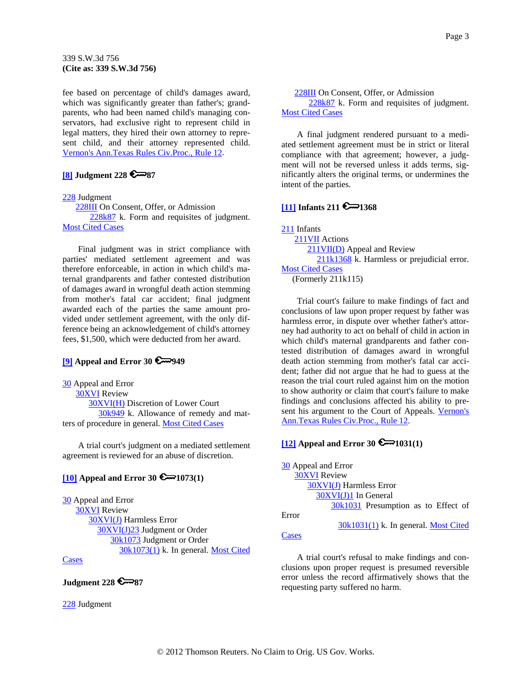<span id="page-2-0"></span>fee based on percentage of child's damages award, which was significantly greater than father's; grandparents, who had been named child's managing conservators, had exclusive right to represent child in legal matters, they hired their own attorney to represent child, and their attorney represented child. [Vernon's Ann.Texas Rules Civ.Proc., Rule 12.](http://www.westlaw.com/Find/Default.wl?rs=dfa1.0&vr=2.0&DB=1005302&DocName=TXRRCPR12&FindType=L)

### **[\[8\]](#page-8-0) Judgment 228 87**

#### [228](http://www.westlaw.com/KeyNumber/Default.wl?rs=dfa1.0&vr=2.0&CMD=KEY&DocName=228) Judgment

[228III](http://www.westlaw.com/KeyNumber/Default.wl?rs=dfa1.0&vr=2.0&CMD=KEY&DocName=228III) On Consent, Offer, or Admission

[228k87](http://www.westlaw.com/KeyNumber/Default.wl?rs=dfa1.0&vr=2.0&CMD=KEY&DocName=228k87) k. Form and requisites of judgment. [Most Cited Cases](http://www.westlaw.com/Digest/Default.wl?rs=dfa1.0&vr=2.0&CMD=MCC&DocName=228k87)

Final judgment was in strict compliance with parties' mediated settlement agreement and was therefore enforceable, in action in which child's maternal grandparents and father contested distribution of damages award in wrongful death action stemming from mother's fatal car accident; final judgment awarded each of the parties the same amount provided under settlement agreement, with the only difference being an acknowledgement of child's attorney fees, \$1,500, which were deducted from her award.

## **[\[9\]](#page-8-0) Appeal and Error 30 6 949**

[30](http://www.westlaw.com/KeyNumber/Default.wl?rs=dfa1.0&vr=2.0&CMD=KEY&DocName=30) Appeal and Error [30XVI](http://www.westlaw.com/KeyNumber/Default.wl?rs=dfa1.0&vr=2.0&CMD=KEY&DocName=30XVI) Review [30XVI\(H\)](http://www.westlaw.com/KeyNumber/Default.wl?rs=dfa1.0&vr=2.0&CMD=KEY&DocName=30XVI%28H%29) Discretion of Lower Court [30k949](http://www.westlaw.com/KeyNumber/Default.wl?rs=dfa1.0&vr=2.0&CMD=KEY&DocName=30k949) k. Allowance of remedy and matters of procedure in general. [Most Cited Cases](http://www.westlaw.com/Digest/Default.wl?rs=dfa1.0&vr=2.0&CMD=MCC&DocName=30k949)

A trial court's judgment on a mediated settlement agreement is reviewed for an abuse of discretion.

# **[\[10\]](#page-8-0) Appeal and Error 30 @**1073(1)

[30](http://www.westlaw.com/KeyNumber/Default.wl?rs=dfa1.0&vr=2.0&CMD=KEY&DocName=30) Appeal and Error [30XVI](http://www.westlaw.com/KeyNumber/Default.wl?rs=dfa1.0&vr=2.0&CMD=KEY&DocName=30XVI) Review [30XVI\(J\)](http://www.westlaw.com/KeyNumber/Default.wl?rs=dfa1.0&vr=2.0&CMD=KEY&DocName=30XVI%28J%29) Harmless Error [30XVI\(J\)23](http://www.westlaw.com/KeyNumber/Default.wl?rs=dfa1.0&vr=2.0&CMD=KEY&DocName=30XVI%28J%2923) Judgment or Order [30k1073](http://www.westlaw.com/KeyNumber/Default.wl?rs=dfa1.0&vr=2.0&CMD=KEY&DocName=30k1073) Judgment or Order [30k1073\(1\)](http://www.westlaw.com/KeyNumber/Default.wl?rs=dfa1.0&vr=2.0&CMD=KEY&DocName=30k1073%281%29) k. In general. [Most Cited](http://www.westlaw.com/Digest/Default.wl?rs=dfa1.0&vr=2.0&CMD=MCC&DocName=30k1073%281%29) 

# **[Cases](http://www.westlaw.com/Digest/Default.wl?rs=dfa1.0&vr=2.0&CMD=MCC&DocName=30k1073%281%29)**

## **Judgment 228 6787**

[228](http://www.westlaw.com/KeyNumber/Default.wl?rs=dfa1.0&vr=2.0&CMD=KEY&DocName=228) Judgment

 [228III](http://www.westlaw.com/KeyNumber/Default.wl?rs=dfa1.0&vr=2.0&CMD=KEY&DocName=228III) On Consent, Offer, or Admission [228k87](http://www.westlaw.com/KeyNumber/Default.wl?rs=dfa1.0&vr=2.0&CMD=KEY&DocName=228k87) k. Form and requisites of judgment. [Most Cited Cases](http://www.westlaw.com/Digest/Default.wl?rs=dfa1.0&vr=2.0&CMD=MCC&DocName=228k87)

A final judgment rendered pursuant to a mediated settlement agreement must be in strict or literal compliance with that agreement; however, a judgment will not be reversed unless it adds terms, significantly alters the original terms, or undermines the intent of the parties.

#### **[\[11\]](#page-9-0) Infants 211**  $\approx$  **1368**

[211](http://www.westlaw.com/KeyNumber/Default.wl?rs=dfa1.0&vr=2.0&CMD=KEY&DocName=211) Infants [211VII](http://www.westlaw.com/KeyNumber/Default.wl?rs=dfa1.0&vr=2.0&CMD=KEY&DocName=211VII) Actions [211VII\(D\)](http://www.westlaw.com/KeyNumber/Default.wl?rs=dfa1.0&vr=2.0&CMD=KEY&DocName=211VII%28D%29) Appeal and Review [211k1368](http://www.westlaw.com/KeyNumber/Default.wl?rs=dfa1.0&vr=2.0&CMD=KEY&DocName=211k1368) k. Harmless or prejudicial error. [Most Cited Cases](http://www.westlaw.com/Digest/Default.wl?rs=dfa1.0&vr=2.0&CMD=MCC&DocName=211k1368) (Formerly 211k115)

Trial court's failure to make findings of fact and conclusions of law upon proper request by father was harmless error, in dispute over whether father's attorney had authority to act on behalf of child in action in which child's maternal grandparents and father contested distribution of damages award in wrongful death action stemming from mother's fatal car accident; father did not argue that he had to guess at the reason the trial court ruled against him on the motion to show authority or claim that court's failure to make findings and conclusions affected his ability to present his argument to the Court of Appeals. Vernon's [Ann.Texas Rules Civ.Proc., Rule 12.](http://www.westlaw.com/Find/Default.wl?rs=dfa1.0&vr=2.0&DB=1005302&DocName=TXRRCPR12&FindType=L)

## **[\[12\]](#page-9-0) Appeal and Error 30**  $\epsilon$  1031(1)

[30](http://www.westlaw.com/KeyNumber/Default.wl?rs=dfa1.0&vr=2.0&CMD=KEY&DocName=30) Appeal and Error [30XVI](http://www.westlaw.com/KeyNumber/Default.wl?rs=dfa1.0&vr=2.0&CMD=KEY&DocName=30XVI) Review [30XVI\(J\)](http://www.westlaw.com/KeyNumber/Default.wl?rs=dfa1.0&vr=2.0&CMD=KEY&DocName=30XVI%28J%29) Harmless Error [30XVI\(J\)1](http://www.westlaw.com/KeyNumber/Default.wl?rs=dfa1.0&vr=2.0&CMD=KEY&DocName=30XVI%28J%291) In General [30k1031](http://www.westlaw.com/KeyNumber/Default.wl?rs=dfa1.0&vr=2.0&CMD=KEY&DocName=30k1031) Presumption as to Effect of

[30k1031\(1\)](http://www.westlaw.com/KeyNumber/Default.wl?rs=dfa1.0&vr=2.0&CMD=KEY&DocName=30k1031%281%29) k. In general. [Most Cited](http://www.westlaw.com/Digest/Default.wl?rs=dfa1.0&vr=2.0&CMD=MCC&DocName=30k1031%281%29) 

#### **[Cases](http://www.westlaw.com/Digest/Default.wl?rs=dfa1.0&vr=2.0&CMD=MCC&DocName=30k1031%281%29)**

Error

A trial court's refusal to make findings and conclusions upon proper request is presumed reversible error unless the record affirmatively shows that the requesting party suffered no harm.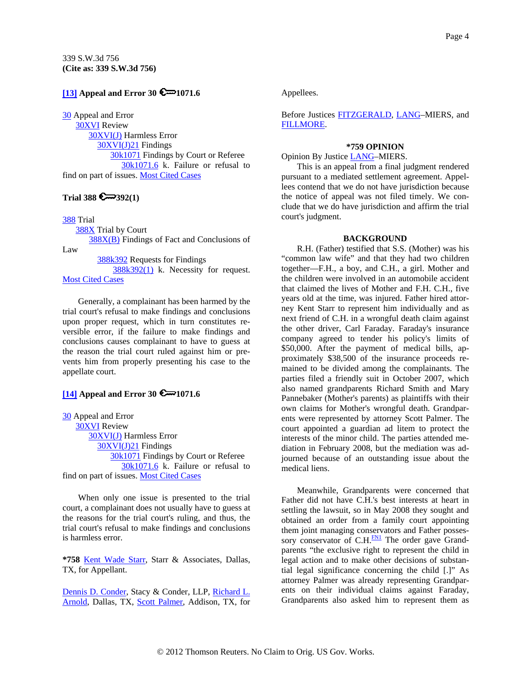## <span id="page-3-0"></span>**[\[13\]](#page-9-0) Appeal and Error 30 6**-1071.6

[30](http://www.westlaw.com/KeyNumber/Default.wl?rs=dfa1.0&vr=2.0&CMD=KEY&DocName=30) Appeal and Error

 [30XVI](http://www.westlaw.com/KeyNumber/Default.wl?rs=dfa1.0&vr=2.0&CMD=KEY&DocName=30XVI) Review [30XVI\(J\)](http://www.westlaw.com/KeyNumber/Default.wl?rs=dfa1.0&vr=2.0&CMD=KEY&DocName=30XVI%28J%29) Harmless Error [30XVI\(J\)21](http://www.westlaw.com/KeyNumber/Default.wl?rs=dfa1.0&vr=2.0&CMD=KEY&DocName=30XVI%28J%2921) Findings [30k1071](http://www.westlaw.com/KeyNumber/Default.wl?rs=dfa1.0&vr=2.0&CMD=KEY&DocName=30k1071) Findings by Court or Referee [30k1071.6](http://www.westlaw.com/KeyNumber/Default.wl?rs=dfa1.0&vr=2.0&CMD=KEY&DocName=30k1071.6) k. Failure or refusal to find on part of issues. [Most Cited Cases](http://www.westlaw.com/Digest/Default.wl?rs=dfa1.0&vr=2.0&CMD=MCC&DocName=30k1071.6)

# Trial 388  $\bigcirc$  392(1)

[388](http://www.westlaw.com/KeyNumber/Default.wl?rs=dfa1.0&vr=2.0&CMD=KEY&DocName=388) Trial

[388X](http://www.westlaw.com/KeyNumber/Default.wl?rs=dfa1.0&vr=2.0&CMD=KEY&DocName=388X) Trial by Court

 [388X\(B\)](http://www.westlaw.com/KeyNumber/Default.wl?rs=dfa1.0&vr=2.0&CMD=KEY&DocName=388X%28B%29) Findings of Fact and Conclusions of Law

[388k392](http://www.westlaw.com/KeyNumber/Default.wl?rs=dfa1.0&vr=2.0&CMD=KEY&DocName=388k392) Requests for Findings

 $388k392(1)$  k. Necessity for request. [Most Cited Cases](http://www.westlaw.com/Digest/Default.wl?rs=dfa1.0&vr=2.0&CMD=MCC&DocName=388k392%281%29)

Generally, a complainant has been harmed by the trial court's refusal to make findings and conclusions upon proper request, which in turn constitutes reversible error, if the failure to make findings and conclusions causes complainant to have to guess at the reason the trial court ruled against him or prevents him from properly presenting his case to the appellate court.

## **[\[14\]](#page-9-0) Appeal and Error 30 0 1071.6**

[30](http://www.westlaw.com/KeyNumber/Default.wl?rs=dfa1.0&vr=2.0&CMD=KEY&DocName=30) Appeal and Error [30XVI](http://www.westlaw.com/KeyNumber/Default.wl?rs=dfa1.0&vr=2.0&CMD=KEY&DocName=30XVI) Review [30XVI\(J\)](http://www.westlaw.com/KeyNumber/Default.wl?rs=dfa1.0&vr=2.0&CMD=KEY&DocName=30XVI%28J%29) Harmless Error [30XVI\(J\)21](http://www.westlaw.com/KeyNumber/Default.wl?rs=dfa1.0&vr=2.0&CMD=KEY&DocName=30XVI%28J%2921) Findings [30k1071](http://www.westlaw.com/KeyNumber/Default.wl?rs=dfa1.0&vr=2.0&CMD=KEY&DocName=30k1071) Findings by Court or Referee [30k1071.6](http://www.westlaw.com/KeyNumber/Default.wl?rs=dfa1.0&vr=2.0&CMD=KEY&DocName=30k1071.6) k. Failure or refusal to find on part of issues. [Most Cited Cases](http://www.westlaw.com/Digest/Default.wl?rs=dfa1.0&vr=2.0&CMD=MCC&DocName=30k1071.6)

When only one issue is presented to the trial court, a complainant does not usually have to guess at the reasons for the trial court's ruling, and thus, the trial court's refusal to make findings and conclusions is harmless error.

**\*758** [Kent Wade Starr](http://www.westlaw.com/Find/Default.wl?rs=dfa1.0&vr=2.0&DB=PROFILER-WLD&DocName=0342589801&FindType=h), Starr & Associates, Dallas, TX, for Appellant.

[Dennis D. Conder](http://www.westlaw.com/Find/Default.wl?rs=dfa1.0&vr=2.0&DB=PROFILER-WLD&DocName=0102898101&FindType=h), Stacy & Conder, LLP, [Richard L.](http://www.westlaw.com/Find/Default.wl?rs=dfa1.0&vr=2.0&DB=PROFILER-WLD&DocName=0287883701&FindType=h)  [Arnold](http://www.westlaw.com/Find/Default.wl?rs=dfa1.0&vr=2.0&DB=PROFILER-WLD&DocName=0287883701&FindType=h), Dallas, TX, [Scott Palmer](http://www.westlaw.com/Find/Default.wl?rs=dfa1.0&vr=2.0&DB=PROFILER-WLD&DocName=0299776401&FindType=h), Addison, TX, for Appellees.

Before Justices [FITZGERALD,](http://www.westlaw.com/Find/Default.wl?rs=dfa1.0&vr=2.0&DB=PROFILER-WLD&DocName=0275677701&FindType=h) [LANG](http://www.westlaw.com/Find/Default.wl?rs=dfa1.0&vr=2.0&DB=PROFILER-WLD&DocName=0185360101&FindType=h)–MIERS, and [FILLMORE.](http://www.westlaw.com/Find/Default.wl?rs=dfa1.0&vr=2.0&DB=PROFILER-WLD&DocName=0127769301&FindType=h)

#### **\*759 OPINION**

Opinion By Justice [LANG–](http://www.westlaw.com/Find/Default.wl?rs=dfa1.0&vr=2.0&DB=PROFILER-WLD&DocName=0185360101&FindType=h)MIERS.

This is an appeal from a final judgment rendered pursuant to a mediated settlement agreement. Appellees contend that we do not have jurisdiction because the notice of appeal was not filed timely. We conclude that we do have jurisdiction and affirm the trial court's judgment.

### **BACKGROUND**

R.H. (Father) testified that S.S. (Mother) was his "common law wife" and that they had two children together—F.H., a boy, and C.H., a girl. Mother and the children were involved in an automobile accident that claimed the lives of Mother and F.H. C.H., five years old at the time, was injured. Father hired attorney Kent Starr to represent him individually and as next friend of C.H. in a wrongful death claim against the other driver, Carl Faraday. Faraday's insurance company agreed to tender his policy's limits of \$50,000. After the payment of medical bills, approximately \$38,500 of the insurance proceeds remained to be divided among the complainants. The parties filed a friendly suit in October 2007, which also named grandparents Richard Smith and Mary Pannebaker (Mother's parents) as plaintiffs with their own claims for Mother's wrongful death. Grandparents were represented by attorney Scott Palmer. The court appointed a guardian ad litem to protect the interests of the minor child. The parties attended mediation in February 2008, but the mediation was adjourned because of an outstanding issue about the medical liens.

Meanwhile, Grandparents were concerned that Father did not have C.H.'s best interests at heart in settling the lawsuit, so in May 2008 they sought and obtained an order from a family court appointing them joint managing conservators and Father possessory conservator of  $C.H.\frac{FN1}{FN}$  $C.H.\frac{FN1}{FN}$  $C.H.\frac{FN1}{FN}$  The order gave Grandparents "the exclusive right to represent the child in legal action and to make other decisions of substantial legal significance concerning the child [.]" As attorney Palmer was already representing Grandparents on their individual claims against Faraday, Grandparents also asked him to represent them as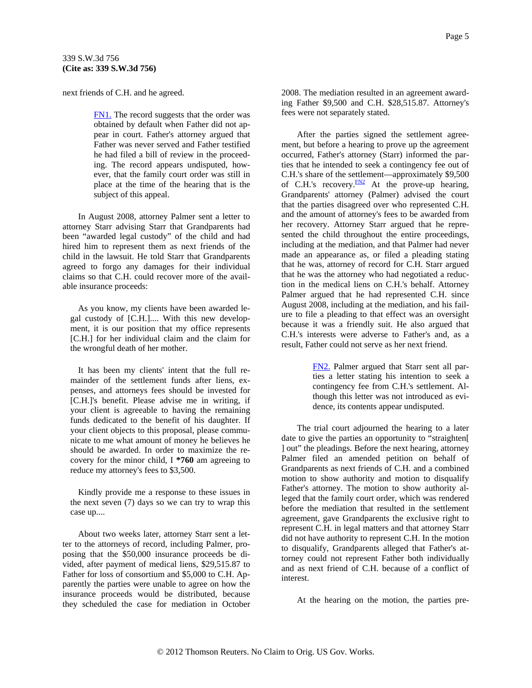next friends of C.H. and he agreed.

<span id="page-4-0"></span>339 S.W.3d 756

[FN1.](#page-3-0) The record suggests that the order was obtained by default when Father did not appear in court. Father's attorney argued that Father was never served and Father testified he had filed a bill of review in the proceeding. The record appears undisputed, however, that the family court order was still in place at the time of the hearing that is the subject of this appeal.

In August 2008, attorney Palmer sent a letter to attorney Starr advising Starr that Grandparents had been "awarded legal custody" of the child and had hired him to represent them as next friends of the child in the lawsuit. He told Starr that Grandparents agreed to forgo any damages for their individual claims so that C.H. could recover more of the available insurance proceeds:

As you know, my clients have been awarded legal custody of [C.H.].... With this new development, it is our position that my office represents [C.H.] for her individual claim and the claim for the wrongful death of her mother.

It has been my clients' intent that the full remainder of the settlement funds after liens, expenses, and attorneys fees should be invested for [C.H.]'s benefit. Please advise me in writing, if your client is agreeable to having the remaining funds dedicated to the benefit of his daughter. If your client objects to this proposal, please communicate to me what amount of money he believes he should be awarded. In order to maximize the recovery for the minor child, I **\*760** am agreeing to reduce my attorney's fees to \$3,500.

Kindly provide me a response to these issues in the next seven (7) days so we can try to wrap this case up....

About two weeks later, attorney Starr sent a letter to the attorneys of record, including Palmer, proposing that the \$50,000 insurance proceeds be divided, after payment of medical liens, \$29,515.87 to Father for loss of consortium and \$5,000 to C.H. Apparently the parties were unable to agree on how the insurance proceeds would be distributed, because they scheduled the case for mediation in October 2008. The mediation resulted in an agreement awarding Father \$9,500 and C.H. \$28,515.87. Attorney's fees were not separately stated.

After the parties signed the settlement agreement, but before a hearing to prove up the agreement occurred, Father's attorney (Starr) informed the parties that he intended to seek a contingency fee out of C.H.'s share of the settlement—approximately \$9,500 of C.H.'s recovery. $\frac{FN2}{FN2}$  $\frac{FN2}{FN2}$  $\frac{FN2}{FN2}$  At the prove-up hearing, Grandparents' attorney (Palmer) advised the court that the parties disagreed over who represented C.H. and the amount of attorney's fees to be awarded from her recovery. Attorney Starr argued that he represented the child throughout the entire proceedings, including at the mediation, and that Palmer had never made an appearance as, or filed a pleading stating that he was, attorney of record for C.H. Starr argued that he was the attorney who had negotiated a reduction in the medical liens on C.H.'s behalf. Attorney Palmer argued that he had represented C.H. since August 2008, including at the mediation, and his failure to file a pleading to that effect was an oversight because it was a friendly suit. He also argued that C.H.'s interests were adverse to Father's and, as a result, Father could not serve as her next friend.

> [FN2.](#page-4-0) Palmer argued that Starr sent all parties a letter stating his intention to seek a contingency fee from C.H.'s settlement. Although this letter was not introduced as evidence, its contents appear undisputed.

The trial court adjourned the hearing to a later date to give the parties an opportunity to "straighten[ ] out" the pleadings. Before the next hearing, attorney Palmer filed an amended petition on behalf of Grandparents as next friends of C.H. and a combined motion to show authority and motion to disqualify Father's attorney. The motion to show authority alleged that the family court order, which was rendered before the mediation that resulted in the settlement agreement, gave Grandparents the exclusive right to represent C.H. in legal matters and that attorney Starr did not have authority to represent C.H. In the motion to disqualify, Grandparents alleged that Father's attorney could not represent Father both individually and as next friend of C.H. because of a conflict of interest.

At the hearing on the motion, the parties pre-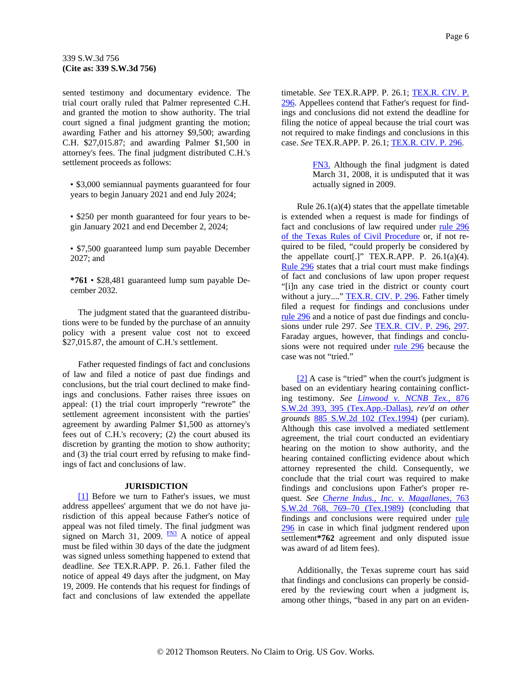<span id="page-5-0"></span>sented testimony and documentary evidence. The trial court orally ruled that Palmer represented C.H. and granted the motion to show authority. The trial court signed a final judgment granting the motion; awarding Father and his attorney \$9,500; awarding C.H. \$27,015.87; and awarding Palmer \$1,500 in attorney's fees. The final judgment distributed C.H.'s settlement proceeds as follows:

• \$3,000 semiannual payments guaranteed for four years to begin January 2021 and end July 2024;

• \$250 per month guaranteed for four years to begin January 2021 and end December 2, 2024;

• \$7,500 guaranteed lump sum payable December 2027; and

**\*761** • \$28,481 guaranteed lump sum payable December 2032.

The judgment stated that the guaranteed distributions were to be funded by the purchase of an annuity policy with a present value cost not to exceed \$27,015.87, the amount of C.H.'s settlement.

Father requested findings of fact and conclusions of law and filed a notice of past due findings and conclusions, but the trial court declined to make findings and conclusions. Father raises three issues on appeal: (1) the trial court improperly "rewrote" the settlement agreement inconsistent with the parties' agreement by awarding Palmer \$1,500 as attorney's fees out of C.H.'s recovery; (2) the court abused its discretion by granting the motion to show authority; and (3) the trial court erred by refusing to make findings of fact and conclusions of law.

#### **JURISDICTION**

[\[1\]](#page-0-0) Before we turn to Father's issues, we must address appellees' argument that we do not have jurisdiction of this appeal because Father's notice of appeal was not filed timely. The final judgment was signed on March 31, 2009.  $\frac{FN3}{FN3}$  A notice of appeal must be filed within 30 days of the date the judgment was signed unless something happened to extend that deadline. *See* TEX.R.APP. P. 26.1. Father filed the notice of appeal 49 days after the judgment, on May 19, 2009. He contends that his request for findings of fact and conclusions of law extended the appellate timetable. *See* TEX.R.APP. P. 26.1; [TEX.R. CIV. P.](http://www.westlaw.com/Find/Default.wl?rs=dfa1.0&vr=2.0&DB=1005302&DocName=TXRRCPR296&FindType=L)  [296](http://www.westlaw.com/Find/Default.wl?rs=dfa1.0&vr=2.0&DB=1005302&DocName=TXRRCPR296&FindType=L). Appellees contend that Father's request for findings and conclusions did not extend the deadline for filing the notice of appeal because the trial court was not required to make findings and conclusions in this case. *See* TEX.R.APP. P. 26.1; [TEX.R. CIV. P. 296.](http://www.westlaw.com/Find/Default.wl?rs=dfa1.0&vr=2.0&DB=1005302&DocName=TXRRCPR296&FindType=L)

> [FN3.](#page-5-0) Although the final judgment is dated March 31, 2008, it is undisputed that it was actually signed in 2009.

Rule  $26.1(a)(4)$  states that the appellate timetable is extended when a request is made for findings of fact and conclusions of law required under [rule 296](http://www.westlaw.com/Find/Default.wl?rs=dfa1.0&vr=2.0&DB=1005302&DocName=TXRRCPR296&FindType=L)  [of the Texas Rules of Civil Procedure](http://www.westlaw.com/Find/Default.wl?rs=dfa1.0&vr=2.0&DB=1005302&DocName=TXRRCPR296&FindType=L) or, if not required to be filed, "could properly be considered by the appellate court[.]" TEX.R.APP. P. 26.1(a)(4). [Rule 296](http://www.westlaw.com/Find/Default.wl?rs=dfa1.0&vr=2.0&DB=1005302&DocName=TXRRCPR296&FindType=L) states that a trial court must make findings of fact and conclusions of law upon proper request "[i]n any case tried in the district or county court without a jury...." [TEX.R. CIV. P. 296.](http://www.westlaw.com/Find/Default.wl?rs=dfa1.0&vr=2.0&DB=1005302&DocName=TXRRCPR296&FindType=L) Father timely filed a request for findings and conclusions under [rule 296](http://www.westlaw.com/Find/Default.wl?rs=dfa1.0&vr=2.0&DB=1005302&DocName=TXRRCPR296&FindType=L) and a notice of past due findings and conclusions under rule 297. *See* [TEX.R. CIV. P. 296,](http://www.westlaw.com/Find/Default.wl?rs=dfa1.0&vr=2.0&DB=1005302&DocName=TXRRCPR296&FindType=L) [297.](http://www.westlaw.com/Find/Default.wl?rs=dfa1.0&vr=2.0&DB=1005302&DocName=TXRRCPR297&FindType=L) Faraday argues, however, that findings and conclusions were not required under [rule 296](http://www.westlaw.com/Find/Default.wl?rs=dfa1.0&vr=2.0&DB=1005302&DocName=TXRRCPR296&FindType=L) because the case was not "tried."

[\[2\]](#page-0-0) A case is "tried" when the court's judgment is based on an evidentiary hearing containing conflicting testimony. *See [Linwood v. NCNB Tex.,](http://www.westlaw.com/Find/Default.wl?rs=dfa1.0&vr=2.0&DB=713&FindType=Y&ReferencePositionType=S&SerialNum=1994036677&ReferencePosition=395)* [876](http://www.westlaw.com/Find/Default.wl?rs=dfa1.0&vr=2.0&DB=713&FindType=Y&ReferencePositionType=S&SerialNum=1994036677&ReferencePosition=395)  [S.W.2d 393, 395 \(Tex.App.-Dallas\)](http://www.westlaw.com/Find/Default.wl?rs=dfa1.0&vr=2.0&DB=713&FindType=Y&ReferencePositionType=S&SerialNum=1994036677&ReferencePosition=395), *rev'd on other grounds* [885 S.W.2d 102 \(Tex.1994\)](http://www.westlaw.com/Find/Default.wl?rs=dfa1.0&vr=2.0&DB=713&FindType=Y&SerialNum=1994206059) (per curiam). Although this case involved a mediated settlement agreement, the trial court conducted an evidentiary hearing on the motion to show authority, and the hearing contained conflicting evidence about which attorney represented the child. Consequently, we conclude that the trial court was required to make findings and conclusions upon Father's proper request. *See [Cherne Indus., Inc. v. Magallanes,](http://www.westlaw.com/Find/Default.wl?rs=dfa1.0&vr=2.0&DB=713&FindType=Y&ReferencePositionType=S&SerialNum=1989015334&ReferencePosition=769)* [763](http://www.westlaw.com/Find/Default.wl?rs=dfa1.0&vr=2.0&DB=713&FindType=Y&ReferencePositionType=S&SerialNum=1989015334&ReferencePosition=769)  [S.W.2d 768, 769–70 \(Tex.1989\)](http://www.westlaw.com/Find/Default.wl?rs=dfa1.0&vr=2.0&DB=713&FindType=Y&ReferencePositionType=S&SerialNum=1989015334&ReferencePosition=769) (concluding that findings and conclusions were required under [rule](http://www.westlaw.com/Find/Default.wl?rs=dfa1.0&vr=2.0&DB=1005302&DocName=TXRRCPR296&FindType=L)  [296](http://www.westlaw.com/Find/Default.wl?rs=dfa1.0&vr=2.0&DB=1005302&DocName=TXRRCPR296&FindType=L) in case in which final judgment rendered upon settlement**\*762** agreement and only disputed issue was award of ad litem fees).

Additionally, the Texas supreme court has said that findings and conclusions can properly be considered by the reviewing court when a judgment is, among other things, "based in any part on an eviden-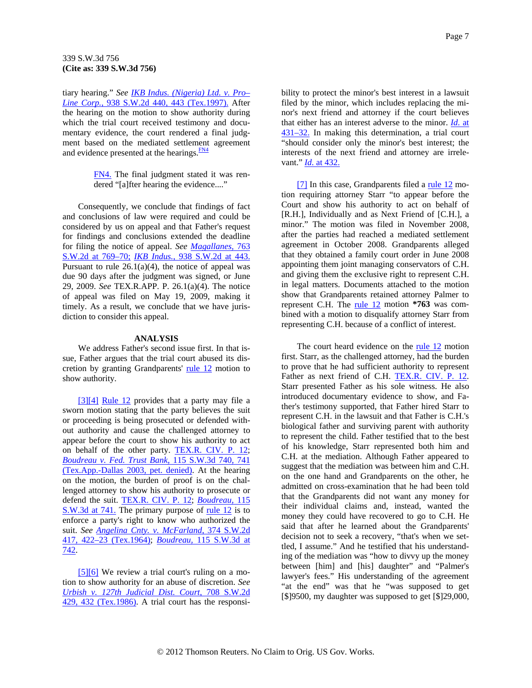<span id="page-6-0"></span>tiary hearing." *See [IKB Indus. \(Nigeria\) Ltd. v. Pro–](http://www.westlaw.com/Find/Default.wl?rs=dfa1.0&vr=2.0&DB=713&FindType=Y&ReferencePositionType=S&SerialNum=1997043324&ReferencePosition=443) [Line Corp.,](http://www.westlaw.com/Find/Default.wl?rs=dfa1.0&vr=2.0&DB=713&FindType=Y&ReferencePositionType=S&SerialNum=1997043324&ReferencePosition=443)* [938 S.W.2d 440, 443 \(Tex.1997\).](http://www.westlaw.com/Find/Default.wl?rs=dfa1.0&vr=2.0&DB=713&FindType=Y&ReferencePositionType=S&SerialNum=1997043324&ReferencePosition=443) After the hearing on the motion to show authority during which the trial court received testimony and documentary evidence, the court rendered a final judgment based on the mediated settlemen[t](#page-6-0) agreement and evidence presented at the hearings. $\frac{FN4}{FN}$  $\frac{FN4}{FN}$  $\frac{FN4}{FN}$ 

> [FN4.](#page-6-0) The final judgment stated it was rendered "[a]fter hearing the evidence...."

Consequently, we conclude that findings of fact and conclusions of law were required and could be considered by us on appeal and that Father's request for findings and conclusions extended the deadline for filing the notice of appeal. *See [Magallanes,](http://www.westlaw.com/Find/Default.wl?rs=dfa1.0&vr=2.0&DB=713&FindType=Y&ReferencePositionType=S&SerialNum=1989015334&ReferencePosition=769)* [763](http://www.westlaw.com/Find/Default.wl?rs=dfa1.0&vr=2.0&DB=713&FindType=Y&ReferencePositionType=S&SerialNum=1989015334&ReferencePosition=769)  [S.W.2d at 769–70;](http://www.westlaw.com/Find/Default.wl?rs=dfa1.0&vr=2.0&DB=713&FindType=Y&ReferencePositionType=S&SerialNum=1989015334&ReferencePosition=769) *[IKB Indus.,](http://www.westlaw.com/Find/Default.wl?rs=dfa1.0&vr=2.0&DB=713&FindType=Y&ReferencePositionType=S&SerialNum=1997043324&ReferencePosition=443)* [938 S.W.2d at 443.](http://www.westlaw.com/Find/Default.wl?rs=dfa1.0&vr=2.0&DB=713&FindType=Y&ReferencePositionType=S&SerialNum=1997043324&ReferencePosition=443) Pursuant to rule  $26.1(a)(4)$ , the notice of appeal was due 90 days after the judgment was signed, or June 29, 2009. *See* TEX.R.APP. P. 26.1(a)(4). The notice of appeal was filed on May 19, 2009, making it timely. As a result, we conclude that we have jurisdiction to consider this appeal.

### **ANALYSIS**

We address Father's second issue first. In that issue, Father argues that the trial court abused its discretion by granting Grandparents' [rule 12](http://www.westlaw.com/Find/Default.wl?rs=dfa1.0&vr=2.0&DB=1005302&DocName=TXRRCPR12&FindType=L) motion to show authority.

[\[3\]](#page-0-0)[\[4\]](#page-1-0) [Rule 12](http://www.westlaw.com/Find/Default.wl?rs=dfa1.0&vr=2.0&DB=1005302&DocName=TXRRCPR12&FindType=L) provides that a party may file a sworn motion stating that the party believes the suit or proceeding is being prosecuted or defended without authority and cause the challenged attorney to appear before the court to show his authority to act on behalf of the other party. [TEX.R. CIV. P. 12](http://www.westlaw.com/Find/Default.wl?rs=dfa1.0&vr=2.0&DB=1005302&DocName=TXRRCPR12&FindType=L); *[Boudreau v. Fed. Trust Bank,](http://www.westlaw.com/Find/Default.wl?rs=dfa1.0&vr=2.0&DB=4644&FindType=Y&ReferencePositionType=S&SerialNum=2003583390&ReferencePosition=741)* [115 S.W.3d 740, 741](http://www.westlaw.com/Find/Default.wl?rs=dfa1.0&vr=2.0&DB=4644&FindType=Y&ReferencePositionType=S&SerialNum=2003583390&ReferencePosition=741)  [\(Tex.App.-Dallas 2003, pet. denied\)](http://www.westlaw.com/Find/Default.wl?rs=dfa1.0&vr=2.0&DB=4644&FindType=Y&ReferencePositionType=S&SerialNum=2003583390&ReferencePosition=741). At the hearing on the motion, the burden of proof is on the challenged attorney to show his authority to prosecute or defend the suit. [TEX.R. CIV. P. 12;](http://www.westlaw.com/Find/Default.wl?rs=dfa1.0&vr=2.0&DB=1005302&DocName=TXRRCPR12&FindType=L) *[Boudreau,](http://www.westlaw.com/Find/Default.wl?rs=dfa1.0&vr=2.0&DB=4644&FindType=Y&ReferencePositionType=S&SerialNum=2003583390&ReferencePosition=741)* [115](http://www.westlaw.com/Find/Default.wl?rs=dfa1.0&vr=2.0&DB=4644&FindType=Y&ReferencePositionType=S&SerialNum=2003583390&ReferencePosition=741)  [S.W.3d at 741.](http://www.westlaw.com/Find/Default.wl?rs=dfa1.0&vr=2.0&DB=4644&FindType=Y&ReferencePositionType=S&SerialNum=2003583390&ReferencePosition=741) The primary purpose of <u>rule 12</u> is to enforce a party's right to know who authorized the suit. *See [Angelina Cnty. v. McFarland,](http://www.westlaw.com/Find/Default.wl?rs=dfa1.0&vr=2.0&DB=713&FindType=Y&ReferencePositionType=S&SerialNum=1964126534&ReferencePosition=422)* [374 S.W.2d](http://www.westlaw.com/Find/Default.wl?rs=dfa1.0&vr=2.0&DB=713&FindType=Y&ReferencePositionType=S&SerialNum=1964126534&ReferencePosition=422)  [417, 422–23 \(Tex.1964\)](http://www.westlaw.com/Find/Default.wl?rs=dfa1.0&vr=2.0&DB=713&FindType=Y&ReferencePositionType=S&SerialNum=1964126534&ReferencePosition=422); *[Boudreau,](http://www.westlaw.com/Find/Default.wl?rs=dfa1.0&vr=2.0&DB=4644&FindType=Y&ReferencePositionType=S&SerialNum=2003583390&ReferencePosition=742)* [115 S.W.3d at](http://www.westlaw.com/Find/Default.wl?rs=dfa1.0&vr=2.0&DB=4644&FindType=Y&ReferencePositionType=S&SerialNum=2003583390&ReferencePosition=742)  [742](http://www.westlaw.com/Find/Default.wl?rs=dfa1.0&vr=2.0&DB=4644&FindType=Y&ReferencePositionType=S&SerialNum=2003583390&ReferencePosition=742).

[\[5\]\[6\]](#page-1-0) We review a trial court's ruling on a motion to show authority for an abuse of discretion. *See [Urbish v. 127th Judicial Dist. Court,](http://www.westlaw.com/Find/Default.wl?rs=dfa1.0&vr=2.0&DB=713&FindType=Y&ReferencePositionType=S&SerialNum=1986107732&ReferencePosition=432)* [708 S.W.2d](http://www.westlaw.com/Find/Default.wl?rs=dfa1.0&vr=2.0&DB=713&FindType=Y&ReferencePositionType=S&SerialNum=1986107732&ReferencePosition=432)  [429, 432 \(Tex.1986\).](http://www.westlaw.com/Find/Default.wl?rs=dfa1.0&vr=2.0&DB=713&FindType=Y&ReferencePositionType=S&SerialNum=1986107732&ReferencePosition=432) A trial court has the responsibility to protect the minor's best interest in a lawsuit filed by the minor, which includes replacing the minor's next friend and attorney if the court believes that either has an interest adverse to the minor. *[Id.](http://www.westlaw.com/Find/Default.wl?rs=dfa1.0&vr=2.0&FindType=Y&SerialNum=1986107732)* [at](http://www.westlaw.com/Find/Default.wl?rs=dfa1.0&vr=2.0&FindType=Y&SerialNum=1986107732)  [431–32.](http://www.westlaw.com/Find/Default.wl?rs=dfa1.0&vr=2.0&FindType=Y&SerialNum=1986107732) In making this determination, a trial court "should consider only the minor's best interest; the interests of the next friend and attorney are irrelevant." *[Id.](http://www.westlaw.com/Find/Default.wl?rs=dfa1.0&vr=2.0&FindType=Y&SerialNum=1986107732)* [at 432.](http://www.westlaw.com/Find/Default.wl?rs=dfa1.0&vr=2.0&FindType=Y&SerialNum=1986107732)

 $[7]$  In this case, Grandparents filed a [rule 12](http://www.westlaw.com/Find/Default.wl?rs=dfa1.0&vr=2.0&DB=1005302&DocName=TXRRCPR12&FindType=L) motion requiring attorney Starr "to appear before the Court and show his authority to act on behalf of [R.H.], Individually and as Next Friend of [C.H.], a minor." The motion was filed in November 2008, after the parties had reached a mediated settlement agreement in October 2008. Grandparents alleged that they obtained a family court order in June 2008 appointing them joint managing conservators of C.H. and giving them the exclusive right to represent C.H. in legal matters. Documents attached to the motion show that Grandparents retained attorney Palmer to represent C.H. The [rule 12](http://www.westlaw.com/Find/Default.wl?rs=dfa1.0&vr=2.0&DB=1005302&DocName=TXRRCPR12&FindType=L) motion **\*763** was combined with a motion to disqualify attorney Starr from representing C.H. because of a conflict of interest.

The court heard evidence on the [rule 12](http://www.westlaw.com/Find/Default.wl?rs=dfa1.0&vr=2.0&DB=1005302&DocName=TXRRCPR12&FindType=L) motion first. Starr, as the challenged attorney, had the burden to prove that he had sufficient authority to represent Father as next friend of C.H. [TEX.R. CIV. P. 12](http://www.westlaw.com/Find/Default.wl?rs=dfa1.0&vr=2.0&DB=1005302&DocName=TXRRCPR12&FindType=L). Starr presented Father as his sole witness. He also introduced documentary evidence to show, and Father's testimony supported, that Father hired Starr to represent C.H. in the lawsuit and that Father is C.H.'s biological father and surviving parent with authority to represent the child. Father testified that to the best of his knowledge, Starr represented both him and C.H. at the mediation. Although Father appeared to suggest that the mediation was between him and C.H. on the one hand and Grandparents on the other, he admitted on cross-examination that he had been told that the Grandparents did not want any money for their individual claims and, instead, wanted the money they could have recovered to go to C.H. He said that after he learned about the Grandparents' decision not to seek a recovery, "that's when we settled, I assume." And he testified that his understanding of the mediation was "how to divvy up the money between [him] and [his] daughter" and "Palmer's lawyer's fees." His understanding of the agreement "at the end" was that he "was supposed to get [\$]9500, my daughter was supposed to get [\$]29,000,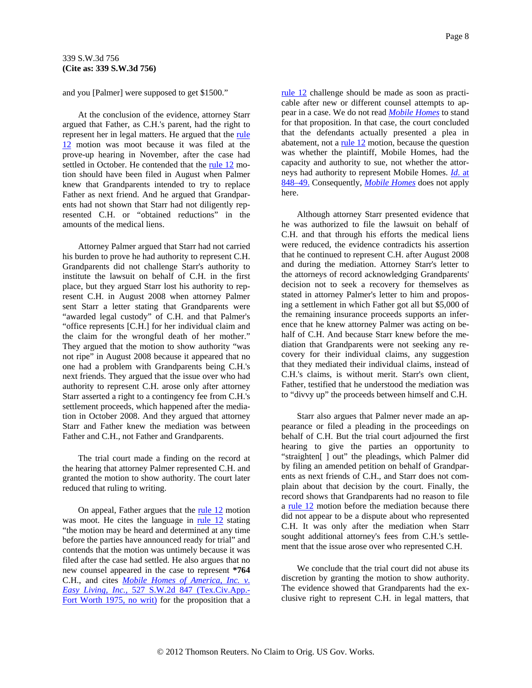and you [Palmer] were supposed to get \$1500."

At the conclusion of the evidence, attorney Starr argued that Father, as C.H.'s parent, had the right to represent her in legal matters. He argued that the [rule](http://www.westlaw.com/Find/Default.wl?rs=dfa1.0&vr=2.0&DB=1005302&DocName=TXRRCPR12&FindType=L)  [12](http://www.westlaw.com/Find/Default.wl?rs=dfa1.0&vr=2.0&DB=1005302&DocName=TXRRCPR12&FindType=L) motion was moot because it was filed at the prove-up hearing in November, after the case had settled in October. He contended that the [rule 12](http://www.westlaw.com/Find/Default.wl?rs=dfa1.0&vr=2.0&DB=1005302&DocName=TXRRCPR12&FindType=L) motion should have been filed in August when Palmer knew that Grandparents intended to try to replace Father as next friend. And he argued that Grandparents had not shown that Starr had not diligently represented C.H. or "obtained reductions" in the amounts of the medical liens.

Attorney Palmer argued that Starr had not carried his burden to prove he had authority to represent C.H. Grandparents did not challenge Starr's authority to institute the lawsuit on behalf of C.H. in the first place, but they argued Starr lost his authority to represent C.H. in August 2008 when attorney Palmer sent Starr a letter stating that Grandparents were "awarded legal custody" of C.H. and that Palmer's "office represents [C.H.] for her individual claim and the claim for the wrongful death of her mother." They argued that the motion to show authority "was not ripe" in August 2008 because it appeared that no one had a problem with Grandparents being C.H.'s next friends. They argued that the issue over who had authority to represent C.H. arose only after attorney Starr asserted a right to a contingency fee from C.H.'s settlement proceeds, which happened after the mediation in October 2008. And they argued that attorney Starr and Father knew the mediation was between Father and C.H., not Father and Grandparents.

The trial court made a finding on the record at the hearing that attorney Palmer represented C.H. and granted the motion to show authority. The court later reduced that ruling to writing.

On appeal, Father argues that the  $rule 12$  motion was moot. He cites the language in [rule 12](http://www.westlaw.com/Find/Default.wl?rs=dfa1.0&vr=2.0&DB=1005302&DocName=TXRRCPR12&FindType=L) stating "the motion may be heard and determined at any time before the parties have announced ready for trial" and contends that the motion was untimely because it was filed after the case had settled. He also argues that no new counsel appeared in the case to represent **\*764** C.H., and cites *[Mobile Homes of America, Inc. v.](http://www.westlaw.com/Find/Default.wl?rs=dfa1.0&vr=2.0&DB=713&FindType=Y&SerialNum=1975135111)  [Easy Living, Inc.,](http://www.westlaw.com/Find/Default.wl?rs=dfa1.0&vr=2.0&DB=713&FindType=Y&SerialNum=1975135111)* [527 S.W.2d 847 \(Tex.Civ.App.-](http://www.westlaw.com/Find/Default.wl?rs=dfa1.0&vr=2.0&DB=713&FindType=Y&SerialNum=1975135111) [Fort Worth 1975, no writ\)](http://www.westlaw.com/Find/Default.wl?rs=dfa1.0&vr=2.0&DB=713&FindType=Y&SerialNum=1975135111) for the proposition that a

[rule 12](http://www.westlaw.com/Find/Default.wl?rs=dfa1.0&vr=2.0&DB=1005302&DocName=TXRRCPR12&FindType=L) challenge should be made as soon as practicable after new or different counsel attempts to appear in a case. We do not read *[Mobile Homes](http://www.westlaw.com/Find/Default.wl?rs=dfa1.0&vr=2.0&FindType=Y&SerialNum=1975135111)* to stand for that proposition. In that case, the court concluded that the defendants actually presented a plea in abatement, not a  $rule 12$  motion, because the question was whether the plaintiff, Mobile Homes, had the capacity and authority to sue, not whether the attorneys had authority to represent Mobile Homes. *[Id.](http://www.westlaw.com/Find/Default.wl?rs=dfa1.0&vr=2.0&FindType=Y&SerialNum=1975135111)* [at](http://www.westlaw.com/Find/Default.wl?rs=dfa1.0&vr=2.0&FindType=Y&SerialNum=1975135111)  [848–49.](http://www.westlaw.com/Find/Default.wl?rs=dfa1.0&vr=2.0&FindType=Y&SerialNum=1975135111) Consequently, *[Mobile Homes](http://www.westlaw.com/Find/Default.wl?rs=dfa1.0&vr=2.0&FindType=Y&SerialNum=1975135111)* does not apply here.

Although attorney Starr presented evidence that he was authorized to file the lawsuit on behalf of C.H. and that through his efforts the medical liens were reduced, the evidence contradicts his assertion that he continued to represent C.H. after August 2008 and during the mediation. Attorney Starr's letter to the attorneys of record acknowledging Grandparents' decision not to seek a recovery for themselves as stated in attorney Palmer's letter to him and proposing a settlement in which Father got all but \$5,000 of the remaining insurance proceeds supports an inference that he knew attorney Palmer was acting on behalf of C.H. And because Starr knew before the mediation that Grandparents were not seeking any recovery for their individual claims, any suggestion that they mediated their individual claims, instead of C.H.'s claims, is without merit. Starr's own client, Father, testified that he understood the mediation was to "divvy up" the proceeds between himself and C.H.

Starr also argues that Palmer never made an appearance or filed a pleading in the proceedings on behalf of C.H. But the trial court adjourned the first hearing to give the parties an opportunity to "straighten[ ] out" the pleadings, which Palmer did by filing an amended petition on behalf of Grandparents as next friends of C.H., and Starr does not complain about that decision by the court. Finally, the record shows that Grandparents had no reason to file a [rule 12](http://www.westlaw.com/Find/Default.wl?rs=dfa1.0&vr=2.0&DB=1005302&DocName=TXRRCPR12&FindType=L) motion before the mediation because there did not appear to be a dispute about who represented C.H. It was only after the mediation when Starr sought additional attorney's fees from C.H.'s settlement that the issue arose over who represented C.H.

We conclude that the trial court did not abuse its discretion by granting the motion to show authority. The evidence showed that Grandparents had the exclusive right to represent C.H. in legal matters, that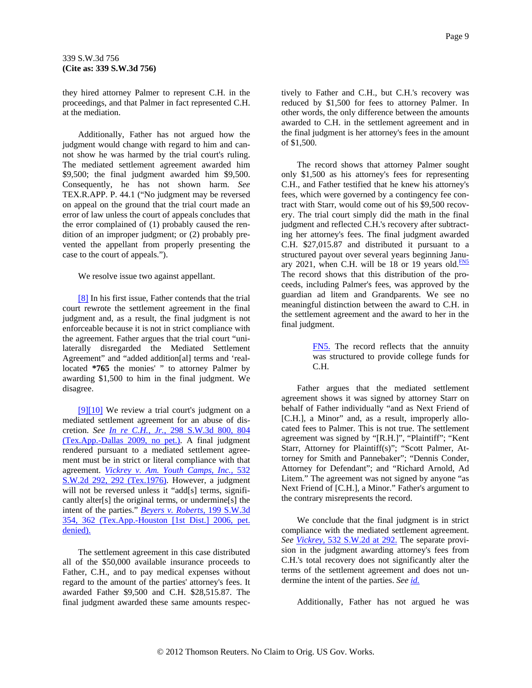<span id="page-8-0"></span>they hired attorney Palmer to represent C.H. in the proceedings, and that Palmer in fact represented C.H. at the mediation.

Additionally, Father has not argued how the judgment would change with regard to him and cannot show he was harmed by the trial court's ruling. The mediated settlement agreement awarded him \$9,500; the final judgment awarded him \$9,500. Consequently, he has not shown harm. *See* TEX.R.APP. P. 44.1 ("No judgment may be reversed on appeal on the ground that the trial court made an error of law unless the court of appeals concludes that the error complained of (1) probably caused the rendition of an improper judgment; or (2) probably prevented the appellant from properly presenting the case to the court of appeals.").

We resolve issue two against appellant.

[\[8\]](#page-2-0) In his first issue, Father contends that the trial court rewrote the settlement agreement in the final judgment and, as a result, the final judgment is not enforceable because it is not in strict compliance with the agreement. Father argues that the trial court "unilaterally disregarded the Mediated Settlement Agreement" and "added addition[al] terms and 'reallocated **\*765** the monies' " to attorney Palmer by awarding \$1,500 to him in the final judgment. We disagree.

[\[9\]\[10\]](#page-2-0) We review a trial court's judgment on a mediated settlement agreement for an abuse of discretion. *See [In re C.H., Jr.,](http://www.westlaw.com/Find/Default.wl?rs=dfa1.0&vr=2.0&DB=4644&FindType=Y&ReferencePositionType=S&SerialNum=2020085500&ReferencePosition=804)* [298 S.W.3d 800, 804](http://www.westlaw.com/Find/Default.wl?rs=dfa1.0&vr=2.0&DB=4644&FindType=Y&ReferencePositionType=S&SerialNum=2020085500&ReferencePosition=804)  [\(Tex.App.-Dallas 2009, no pet.\)](http://www.westlaw.com/Find/Default.wl?rs=dfa1.0&vr=2.0&DB=4644&FindType=Y&ReferencePositionType=S&SerialNum=2020085500&ReferencePosition=804). A final judgment rendered pursuant to a mediated settlement agreement must be in strict or literal compliance with that agreement. *[Vickrey v. Am. Youth Camps, Inc.,](http://www.westlaw.com/Find/Default.wl?rs=dfa1.0&vr=2.0&DB=713&FindType=Y&ReferencePositionType=S&SerialNum=1976116712&ReferencePosition=292)* [532](http://www.westlaw.com/Find/Default.wl?rs=dfa1.0&vr=2.0&DB=713&FindType=Y&ReferencePositionType=S&SerialNum=1976116712&ReferencePosition=292)  [S.W.2d 292, 292 \(Tex.1976\).](http://www.westlaw.com/Find/Default.wl?rs=dfa1.0&vr=2.0&DB=713&FindType=Y&ReferencePositionType=S&SerialNum=1976116712&ReferencePosition=292) However, a judgment will not be reversed unless it "add[s] terms, significantly alter[s] the original terms, or undermine[s] the intent of the parties." *[Beyers v. Roberts,](http://www.westlaw.com/Find/Default.wl?rs=dfa1.0&vr=2.0&DB=4644&FindType=Y&ReferencePositionType=S&SerialNum=2009050009&ReferencePosition=362)* [199 S.W.3d](http://www.westlaw.com/Find/Default.wl?rs=dfa1.0&vr=2.0&DB=4644&FindType=Y&ReferencePositionType=S&SerialNum=2009050009&ReferencePosition=362)  [354, 362 \(Tex.App.-Houston \[1st Dist.\] 2006, pet.](http://www.westlaw.com/Find/Default.wl?rs=dfa1.0&vr=2.0&DB=4644&FindType=Y&ReferencePositionType=S&SerialNum=2009050009&ReferencePosition=362)  [denied\).](http://www.westlaw.com/Find/Default.wl?rs=dfa1.0&vr=2.0&DB=4644&FindType=Y&ReferencePositionType=S&SerialNum=2009050009&ReferencePosition=362)

The settlement agreement in this case distributed all of the \$50,000 available insurance proceeds to Father, C.H., and to pay medical expenses without regard to the amount of the parties' attorney's fees. It awarded Father \$9,500 and C.H. \$28,515.87. The final judgment awarded these same amounts respectively to Father and C.H., but C.H.'s recovery was reduced by \$1,500 for fees to attorney Palmer. In other words, the only difference between the amounts awarded to C.H. in the settlement agreement and in the final judgment is her attorney's fees in the amount of \$1,500.

The record shows that attorney Palmer sought only \$1,500 as his attorney's fees for representing C.H., and Father testified that he knew his attorney's fees, which were governed by a contingency fee contract with Starr, would come out of his \$9,500 recovery. The trial court simply did the math in the final judgment and reflected C.H.'s recovery after subtracting her attorney's fees. The final judgment awarded C.H. \$27,015.87 and distributed it pursuant to a structured payout over several years beginning January 2021, when C.H. will be 18 or 19 years old. $\frac{FN5}{FN5}$  $\frac{FN5}{FN5}$  $\frac{FN5}{FN5}$ The record shows that this distribution of the proceeds, including Palmer's fees, was approved by the guardian ad litem and Grandparents. We see no meaningful distinction between the award to C.H. in the settlement agreement and the award to her in the final judgment.

> [FN5.](#page-8-0) The record reflects that the annuity was structured to provide college funds for C.H.

Father argues that the mediated settlement agreement shows it was signed by attorney Starr on behalf of Father individually "and as Next Friend of [C.H.], a Minor" and, as a result, improperly allocated fees to Palmer. This is not true. The settlement agreement was signed by "[R.H.]", "Plaintiff"; "Kent Starr, Attorney for Plaintiff(s)"; "Scott Palmer, Attorney for Smith and Pannebaker"; "Dennis Conder, Attorney for Defendant"; and "Richard Arnold, Ad Litem." The agreement was not signed by anyone "as Next Friend of [C.H.], a Minor." Father's argument to the contrary misrepresents the record.

We conclude that the final judgment is in strict compliance with the mediated settlement agreement. *See [Vickrey,](http://www.westlaw.com/Find/Default.wl?rs=dfa1.0&vr=2.0&DB=713&FindType=Y&ReferencePositionType=S&SerialNum=1976116712&ReferencePosition=292)* [532 S.W.2d at 292.](http://www.westlaw.com/Find/Default.wl?rs=dfa1.0&vr=2.0&DB=713&FindType=Y&ReferencePositionType=S&SerialNum=1976116712&ReferencePosition=292) The separate provision in the judgment awarding attorney's fees from C.H.'s total recovery does not significantly alter the terms of the settlement agreement and does not undermine the intent of the parties. *See [id.](http://www.westlaw.com/Find/Default.wl?rs=dfa1.0&vr=2.0&FindType=Y&SerialNum=1976116712)*

Additionally, Father has not argued he was